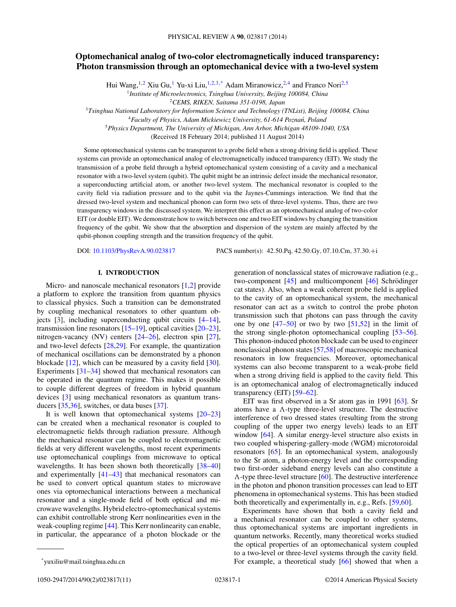# **Optomechanical analog of two-color electromagnetically induced transparency: Photon transmission through an optomechanical device with a two-level system**

Hui Wang,<sup>1,2</sup> Xiu Gu,<sup>1</sup> Yu-xi Liu,<sup>1,2,3,\*</sup> Adam Miranowicz,<sup>2,4</sup> and Franco Nori<sup>2,5</sup> <sup>1</sup>*Institute of Microelectronics, Tsinghua University, Beijing 100084, China*

<sup>2</sup>*CEMS, RIKEN, Saitama 351-0198, Japan*

<sup>3</sup>*Tsinghua National Laboratory for Information Science and Technology (TNList), Beijing 100084, China* <sup>4</sup>*Faculty of Physics, Adam Mickiewicz University, 61-614 Poznan, Poland ´* <sup>5</sup>*Physics Department, The University of Michigan, Ann Arbor, Michigan 48109-1040, USA*

(Received 18 February 2014; published 11 August 2014)

Some optomechanical systems can be transparent to a probe field when a strong driving field is applied. These systems can provide an optomechanical analog of electromagnetically induced transparency (EIT). We study the transmission of a probe field through a hybrid optomechanical system consisting of a cavity and a mechanical resonator with a two-level system (qubit). The qubit might be an intrinsic defect inside the mechanical resonator, a superconducting artificial atom, or another two-level system. The mechanical resonator is coupled to the cavity field via radiation pressure and to the qubit via the Jaynes-Cummings interaction. We find that the dressed two-level system and mechanical phonon can form two sets of three-level systems. Thus, there are two transparency windows in the discussed system. We interpret this effect as an optomechanical analog of two-color EIT (or double EIT). We demonstrate how to switch between one and two EIT windows by changing the transition frequency of the qubit. We show that the absorption and dispersion of the system are mainly affected by the qubit-phonon coupling strength and the transition frequency of the qubit.

DOI: [10.1103/PhysRevA.90.023817](http://dx.doi.org/10.1103/PhysRevA.90.023817) PACS number(s): 42*.*50*.*Pq*,* 42*.*50*.*Gy*,* 07*.*10*.*Cm*,* 37*.*30*.*+i

## **I. INTRODUCTION**

Micro- and nanoscale mechanical resonators [\[1,2\]](#page-8-0) provide a platform to explore the transition from quantum physics to classical physics. Such a transition can be demonstrated by coupling mechanical resonators to other quantum objects [\[3\]](#page-8-0), including superconducting qubit circuits [\[4–](#page-8-0)[14\]](#page-9-0), transmission line resonators [\[15–19\]](#page-9-0), optical cavities [\[20–23\]](#page-9-0), nitrogen-vacancy (NV) centers [\[24–26\]](#page-9-0), electron spin [\[27\]](#page-9-0), and two-level defects [\[28,29\]](#page-9-0). For example, the quantization of mechanical oscillations can be demonstrated by a phonon blockade [\[12\]](#page-8-0), which can be measured by a cavity field [\[30\]](#page-9-0). Experiments [\[31–34\]](#page-9-0) showed that mechanical resonators can be operated in the quantum regime. This makes it possible to couple different degrees of freedom in hybrid quantum devices [\[3\]](#page-8-0) using mechanical resonators as quantum transducers [\[35,36\]](#page-9-0), switches, or data buses [\[37\]](#page-9-0).

It is well known that optomechanical systems [\[20–23\]](#page-9-0) can be created when a mechanical resonator is coupled to electromagnetic fields through radiation pressure. Although the mechanical resonator can be coupled to electromagnetic fields at very different wavelengths, most recent experiments use optomechanical couplings from microwave to optical wavelengths. It has been shown both theoretically  $[38-40]$ and experimentally [\[41–43\]](#page-9-0) that mechanical resonators can be used to convert optical quantum states to microwave ones via optomechanical interactions between a mechanical resonator and a single-mode field of both optical and microwave wavelengths. Hybrid electro-optomechanical systems can exhibit controllable strong Kerr nonlinearities even in the weak-coupling regime [\[44\]](#page-9-0). This Kerr nonlinearity can enable, in particular, the appearance of a photon blockade or the

generation of nonclassical states of microwave radiation (e.g., two-component  $[45]$  and multicomponent  $[46]$  Schrödinger cat states). Also, when a weak coherent probe field is applied to the cavity of an optomechanical system, the mechanical resonator can act as a switch to control the probe photon transmission such that photons can pass through the cavity one by one  $[47-50]$  or two by two  $[51,52]$  in the limit of the strong single-photon optomechanical coupling [\[53–56\]](#page-9-0). This phonon-induced photon blockade can be used to engineer nonclassical phonon states [\[57,58\]](#page-9-0) of macroscopic mechanical resonators in low frequencies. Moreover, optomechanical systems can also become transparent to a weak-probe field when a strong driving field is applied to the cavity field. This is an optomechanical analog of electromagnetically induced transparency (EIT) [\[59–62\]](#page-9-0).

EIT was first observed in a Sr atom gas in 1991 [\[63\]](#page-9-0). Sr atoms have a  $\Lambda$ -type three-level structure. The destructive interference of two dressed states (resulting from the strong coupling of the upper two energy levels) leads to an EIT window [\[64\]](#page-9-0). A similar energy-level structure also exists in two coupled whispering-gallery-mode (WGM) microtoroidal resonators [\[65\]](#page-9-0). In an optomechanical system, analogously to the Sr atom, a photon-energy level and the corresponding two first-order sideband energy levels can also constitute a *-*-type three-level structure [\[60\]](#page-9-0). The destructive interference in the photon and phonon transition processes can lead to EIT phenomena in optomechanical systems. This has been studied both theoretically and experimentally in, e.g., Refs. [\[59,60\]](#page-9-0).

Experiments have shown that both a cavity field and a mechanical resonator can be coupled to other systems, thus optomechanical systems are important ingredients in quantum networks. Recently, many theoretical works studied the optical properties of an optomechanical system coupled to a two-level or three-level systems through the cavity field. For example, a theoretical study [\[66\]](#page-9-0) showed that when a

1050-2947/2014/90(2)/023817(11) 023817-1 ©2014 American Physical Society

<sup>\*</sup>yuxiliu@mail.tsinghua.edu.cn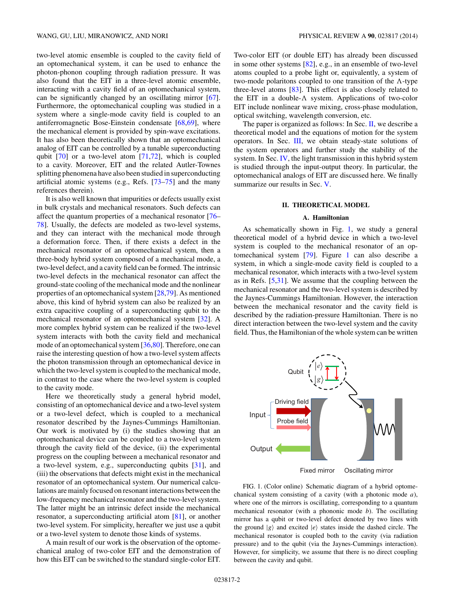two-level atomic ensemble is coupled to the cavity field of an optomechanical system, it can be used to enhance the photon-phonon coupling through radiation pressure. It was also found that the EIT in a three-level atomic ensemble, interacting with a cavity field of an optomechanical system, can be significantly changed by an oscillating mirror [\[67\]](#page-9-0). Furthermore, the optomechanical coupling was studied in a system where a single-mode cavity field is coupled to an antiferromagnetic Bose-Einstein condensate [\[68,69\]](#page-9-0), where the mechanical element is provided by spin-wave excitations. It has also been theoretically shown that an optomechanical analog of EIT can be controlled by a tunable superconducting qubit [\[70\]](#page-9-0) or a two-level atom [\[71,72\]](#page-10-0), which is coupled to a cavity. Moreover, EIT and the related Autler-Townes splitting phenomena have also been studied in superconducting artificial atomic systems (e.g., Refs. [\[73–75\]](#page-10-0) and the many references therein).

It is also well known that impurities or defects usually exist in bulk crystals and mechanical resonators. Such defects can affect the quantum properties of a mechanical resonator [\[76–](#page-10-0) [78\]](#page-10-0). Usually, the defects are modeled as two-level systems, and they can interact with the mechanical mode through a deformation force. Then, if there exists a defect in the mechanical resonator of an optomechanical system, then a three-body hybrid system composed of a mechanical mode, a two-level defect, and a cavity field can be formed. The intrinsic two-level defects in the mechanical resonator can affect the ground-state cooling of the mechanical mode and the nonlinear properties of an optomechanical system [\[28,](#page-9-0)[79\]](#page-10-0). As mentioned above, this kind of hybrid system can also be realized by an extra capacitive coupling of a superconducting qubit to the mechanical resonator of an optomechanical system [\[32\]](#page-9-0). A more complex hybrid system can be realized if the two-level system interacts with both the cavity field and mechanical mode of an optomechanical system [\[36](#page-9-0)[,80\]](#page-10-0). Therefore, one can raise the interesting question of how a two-level system affects the photon transmission through an optomechanical device in which the two-level system is coupled to the mechanical mode, in contrast to the case where the two-level system is coupled to the cavity mode.

Here we theoretically study a general hybrid model, consisting of an optomechanical device and a two-level system or a two-level defect, which is coupled to a mechanical resonator described by the Jaynes-Cummings Hamiltonian. Our work is motivated by (i) the studies showing that an optomechanical device can be coupled to a two-level system through the cavity field of the device, (ii) the experimental progress on the coupling between a mechanical resonator and a two-level system, e.g., superconducting qubits [\[31\]](#page-9-0), and (iii) the observations that defects might exist in the mechanical resonator of an optomechanical system. Our numerical calculations are mainly focused on resonant interactions between the low-frequency mechanical resonator and the two-level system. The latter might be an intrinsic defect inside the mechanical resonator, a superconducting artificial atom [\[81\]](#page-10-0), or another two-level system. For simplicity, hereafter we just use a qubit or a two-level system to denote those kinds of systems.

A main result of our work is the observation of the optomechanical analog of two-color EIT and the demonstration of how this EIT can be switched to the standard single-color EIT. Two-color EIT (or double EIT) has already been discussed in some other systems [\[82\]](#page-10-0), e.g., in an ensemble of two-level atoms coupled to a probe light or, equivalently, a system of two-mode polaritons coupled to one transition of the  $\Lambda$ -type three-level atoms [\[83\]](#page-10-0). This effect is also closely related to the EIT in a double- $\Lambda$  system. Applications of two-color EIT include nonlinear wave mixing, cross-phase modulation, optical switching, wavelength conversion, etc.

The paper is organized as follows: In Sec. II, we describe a theoretical model and the equations of motion for the system operators. In Sec. [III,](#page-2-0) we obtain steady-state solutions of the system operators and further study the stability of the system. In Sec. [IV,](#page-4-0) the light transmission in this hybrid system is studied through the input-output theory. In particular, the optomechanical analogs of EIT are discussed here. We finally summarize our results in Sec. [V.](#page-7-0)

### **II. THEORETICAL MODEL**

### **A. Hamiltonian**

As schematically shown in Fig. 1, we study a general theoretical model of a hybrid device in which a two-level system is coupled to the mechanical resonator of an optomechanical system [\[79\]](#page-10-0). Figure 1 can also describe a system, in which a single-mode cavity field is coupled to a mechanical resonator, which interacts with a two-level system as in Refs. [\[5,](#page-8-0)[31\]](#page-9-0). We assume that the coupling between the mechanical resonator and the two-level system is described by the Jaynes-Cummings Hamiltonian. However, the interaction between the mechanical resonator and the cavity field is described by the radiation-pressure Hamiltonian. There is no direct interaction between the two-level system and the cavity field. Thus, the Hamiltonian of the whole system can be written



FIG. 1. (Color online) Schematic diagram of a hybrid optomechanical system consisting of a cavity (with a photonic mode *a*), where one of the mirrors is oscillating, corresponding to a quantum mechanical resonator (with a phononic mode *b*). The oscillating mirror has a qubit or two-level defect denoted by two lines with the ground  $|g\rangle$  and excited  $|e\rangle$  states inside the dashed circle. The mechanical resonator is coupled both to the cavity (via radiation pressure) and to the qubit (via the Jaynes-Cummings interaction). However, for simplicity, we assume that there is no direct coupling between the cavity and qubit.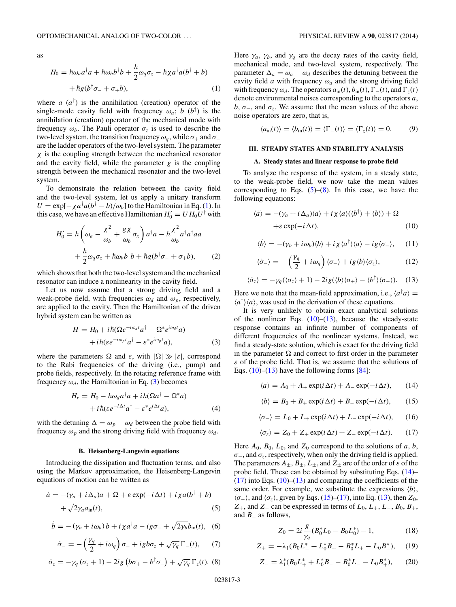<span id="page-2-0"></span>as

$$
H_0 = \hbar \omega_a a^{\dagger} a + \hbar \omega_b b^{\dagger} b + \frac{\hbar}{2} \omega_q \sigma_z - \hbar \chi a^{\dagger} a (b^{\dagger} + b) + \hbar g (b^{\dagger} \sigma_- + \sigma_+ b),
$$
 (1)

where  $a(a^{\dagger})$  is the annihilation (creation) operator of the single-mode cavity field with frequency  $\omega_a$ ; *b* (*b*<sup>†</sup>) is the annihilation (creation) operator of the mechanical mode with frequency  $\omega_b$ . The Pauli operator  $\sigma_z$  is used to describe the two-level system, the transition frequency  $ω<sub>a</sub>$ , while  $σ<sub>+</sub>$  and  $σ<sub>−</sub>$ are the ladder operators of the two-level system. The parameter *χ* is the coupling strength between the mechanical resonator and the cavity field, while the parameter *g* is the coupling strength between the mechanical resonator and the two-level system.

To demonstrate the relation between the cavity field and the two-level system, let us apply a unitary transform  $U = \exp[-\chi a^{\dagger} a (b^{\dagger} - b)/\omega_b]$  to the Hamiltonian in Eq. (1). In this case, we have an effective Hamiltonian  $H'_0 = U H_0 U^{\dagger}$  with

$$
H_0' = \hbar \left( \omega_a - \frac{\chi^2}{\omega_b} + \frac{g\chi}{\omega_b} \sigma_x \right) a^\dagger a - \hbar \frac{\chi^2}{\omega_b} a^\dagger a^\dagger a a
$$

$$
+ \frac{\hbar}{2} \omega_q \sigma_z + \hbar \omega_b b^\dagger b + \hbar g (b^\dagger \sigma_- + \sigma_+ b), \qquad (2)
$$

which shows that both the two-level system and the mechanical resonator can induce a nonlinearity in the cavity field.

Let us now assume that a strong driving field and a weak-probe field, with frequencies  $\omega_d$  and  $\omega_p$ , respectively, are applied to the cavity. Then the Hamiltonian of the driven hybrid system can be written as

$$
H = H_0 + i\hbar(\Omega e^{-i\omega_d t}a^{\dagger} - \Omega^* e^{i\omega_d t}a)
$$

$$
+ i\hbar(\varepsilon e^{-i\omega_p t}a^{\dagger} - \varepsilon^* e^{i\omega_p t}a), \tag{3}
$$

where the parameters  $\Omega$  and  $\varepsilon$ , with  $|\Omega| \gg |\varepsilon|$ , correspond to the Rabi frequencies of the driving (i.e., pump) and probe fields, respectively. In the rotating reference frame with frequency  $\omega_d$ , the Hamiltonian in Eq. (3) becomes

$$
H_r = H_0 - \hbar \omega_d a^\dagger a + i \hbar (\Omega a^\dagger - \Omega^* a) + i \hbar (\varepsilon e^{-i \Delta t} a^\dagger - \varepsilon^* e^{i \Delta t} a),
$$
 (4)

with the detuning  $\Delta = \omega_p - \omega_d$  between the probe field with frequency  $\omega_p$  and the strong driving field with frequency  $\omega_d$ .

#### **B. Heisenberg-Langevin equations**

Introducing the dissipation and fluctuation terms, and also using the Markov approximation, the Heisenberg-Langevin equations of motion can be written as

$$
\dot{a} = -(\gamma_a + i\Delta_a)a + \Omega + \varepsilon \exp(-i\Delta t) + i\chi a(b^\dagger + b) + \sqrt{2\gamma_a}a_{\rm in}(t),
$$
\n(5)

$$
\dot{b} = -(\gamma_b + i\omega_b) b + i\chi a^\dagger a - ig\sigma_- + \sqrt{2\gamma_b} b_{\rm in}(t), \quad (6)
$$

$$
\dot{\sigma}_{-} = -\left(\frac{\gamma_q}{2} + i\omega_q\right)\sigma_{-} + igb\sigma_z + \sqrt{\gamma_q}\,\Gamma_{-}(t),\qquad(7)
$$

$$
\dot{\sigma}_z = -\gamma_q \left( \sigma_z + 1 \right) - 2ig \left( b\sigma_+ - b^{\dagger} \sigma_- \right) + \sqrt{\gamma_q} \, \Gamma_z(t). \tag{8}
$$

Here  $\gamma_a$ ,  $\gamma_b$ , and  $\gamma_q$  are the decay rates of the cavity field, mechanical mode, and two-level system, respectively. The parameter  $\Delta_a = \omega_a - \omega_d$  describes the detuning between the cavity field *a* with frequency  $\omega_a$  and the strong driving field with frequency  $\omega_d$ . The operators  $a_{\text{in}}(t)$ ,  $b_{\text{in}}(t)$ ,  $\Gamma_{-}(t)$ , and  $\Gamma_z(t)$ denote environmental noises corresponding to the operators *a*, *b*,  $\sigma$ <sub>−</sub>, and  $\sigma$ <sub>*τ*</sub>. We assume that the mean values of the above noise operators are zero, that is,

$$
\langle a_{\rm in}(t) \rangle = \langle b_{\rm in}(t) \rangle = \langle \Gamma_{-}(t) \rangle = \langle \Gamma_{z}(t) \rangle = 0. \tag{9}
$$

#### **III. STEADY STATES AND STABILITY ANALYSIS**

### **A. Steady states and linear response to probe field**

To analyze the response of the system, in a steady state, to the weak-probe field, we now take the mean values corresponding to Eqs.  $(5)$ – $(8)$ . In this case, we have the following equations:

$$
\langle \dot{a} \rangle = -(\gamma_a + i \Delta_a) \langle a \rangle + i \chi \langle a \rangle (\langle b^{\dagger} \rangle + \langle b \rangle) + \Omega + \varepsilon \exp(-i \Delta t), \tag{10}
$$

$$
\langle \dot{b} \rangle = -(\gamma_b + i\omega_b) \langle b \rangle + i\chi \langle a^\dagger \rangle \langle a \rangle - i g \langle \sigma_- \rangle, \quad (11)
$$

$$
\langle \dot{\sigma}_{-} \rangle = -\left(\frac{\gamma_q}{2} + i\omega_q\right) \langle \sigma_{-} \rangle + i g \langle b \rangle \langle \sigma_z \rangle, \tag{12}
$$

$$
\langle \dot{\sigma}_z \rangle = -\gamma_q(\langle \sigma_z \rangle + 1) - 2ig(\langle b \rangle \langle \sigma_+ \rangle - \langle b^\dagger \rangle \langle \sigma_- \rangle). \quad (13)
$$

Here we note that the mean-field approximation, i.e.,  $\langle a^{\dagger} a \rangle =$  $\langle a^{\dagger} \rangle \langle a \rangle$ , was used in the derivation of these equations.

It is very unlikely to obtain exact analytical solutions of the nonlinear Eqs.  $(10)$ – $(13)$ , because the steady-state response contains an infinite number of components of different frequencies of the nonlinear systems. Instead, we find a steady-state solution, which is exact for the driving field in the parameter  $\Omega$  and correct to first order in the parameter *ε* of the probe field. That is, we assume that the solutions of Eqs.  $(10)$ – $(13)$  have the following forms [\[84\]](#page-10-0):

$$
\langle a \rangle = A_0 + A_+ \exp(i \Delta t) + A_- \exp(-i \Delta t), \qquad (14)
$$

$$
\langle b \rangle = B_0 + B_+ \exp(i \Delta t) + B_- \exp(-i \Delta t), \qquad (15)
$$

$$
\langle \sigma_{-} \rangle = L_0 + L_+ \exp(i \Delta t) + L_- \exp(-i \Delta t), \qquad (16)
$$

$$
\langle \sigma_z \rangle = Z_0 + Z_+ \exp(i \Delta t) + Z_- \exp(-i \Delta t). \tag{17}
$$

Here  $A_0$ ,  $B_0$ ,  $L_0$ , and  $Z_0$  correspond to the solutions of *a*, *b*,  $\sigma$ <sub>−</sub>, and  $\sigma$ <sub>z</sub>, respectively, when only the driving field is applied. The parameters  $A_{\pm}$ ,  $B_{\pm}$ ,  $L_{\pm}$ , and  $Z_{\pm}$  are of the order of  $\varepsilon$  of the probe field. These can be obtained by substituting Eqs. (14)–  $(17)$  into Eqs.  $(10)$ – $(13)$  and comparing the coefficients of the same order. For example, we substitute the expressions  $\langle b \rangle$ ,  $\langle \sigma_-\rangle$ , and  $\langle \sigma_z \rangle$ , given by Eqs. (15)–(17), into Eq. (13), then *Z*<sub>0</sub>, *Z*+, and *Z*<sup>−</sup> can be expressed in terms of *L*0, *L*+, *L*−, *B*0, *B*+, and *B*<sup>−</sup> as follows,

$$
Z_0 = 2i \frac{g}{\gamma_q} (B_0^* L_0 - B_0 L_0^*) - 1, \qquad (18)
$$

$$
Z_{+} = -\lambda_1 (B_0 L_{-}^* + L_0^* B_{+} - B_0^* L_{+} - L_0 B_{-}^*), \quad (19)
$$

$$
Z_{-} = \lambda_1^*(B_0 L_+^* + L_0^* B_- - B_0^* L_- - L_0 B_+^*), \qquad (20)
$$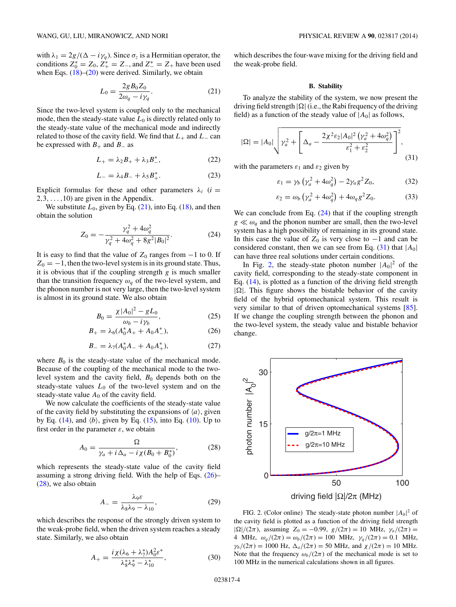$$
L_0 = \frac{2g B_0 Z_0}{2\omega_q - i\gamma_q}.
$$
 (21)

<span id="page-3-0"></span>Since the two-level system is coupled only to the mechanical mode, then the steady-state value  $L_0$  is directly related only to the steady-state value of the mechanical mode and indirectly related to those of the cavity field. We find that  $L_+$  and  $L_-$  can be expressed with  $B_+$  and  $B_-$  as

$$
L_{+} = \lambda_2 B_+ + \lambda_3 B_-^*,\tag{22}
$$

$$
L_{-} = \lambda_{4} B_{-} + \lambda_{5} B_{+}^{*}.
$$
 (23)

Explicit formulas for these and other parameters  $\lambda_i$  (*i* = 2*,*3*,...,*10) are given in the Appendix.

We substitute  $L_0$ , given by Eq.  $(21)$ , into Eq.  $(18)$ , and then obtain the solution

$$
Z_0 = -\frac{\gamma_q^2 + 4\omega_q^2}{\gamma_q^2 + 4\omega_q^2 + 8g^2|B_0|^2}.
$$
 (24)

It is easy to find that the value of  $Z_0$  ranges from  $-1$  to 0. If  $Z_0 = -1$ , then the two-level system is in its ground state. Thus, it is obvious that if the coupling strength *g* is much smaller than the transition frequency  $\omega_a$  of the two-level system, and the phonon number is not very large, then the two-level system is almost in its ground state. We also obtain

$$
B_0 = \frac{\chi |A_0|^2 - gL_0}{\omega_b - i\gamma_b},
$$
\n(25)

$$
B_{+} = \lambda_6 (A_0^* A_+ + A_0 A_-^*), \tag{26}
$$

$$
B_{-} = \lambda_7 (A_0^* A_{-} + A_0 A_{+}^*), \tag{27}
$$

where  $B_0$  is the steady-state value of the mechanical mode. Because of the coupling of the mechanical mode to the twolevel system and the cavity field,  $B_0$  depends both on the steady-state values  $L_0$  of the two-level system and on the steady-state value  $A_0$  of the cavity field.

We now calculate the coefficients of the steady-state value of the cavity field by substituting the expansions of  $\langle a \rangle$ , given by Eq.  $(14)$ , and  $\langle b \rangle$ , given by Eq.  $(15)$ , into Eq.  $(10)$ . Up to first order in the parameter  $\varepsilon$ , we obtain

$$
A_0 = \frac{\Omega}{\gamma_a + i\,\Delta_a - i\,\chi(B_0 + B_0^*)},\tag{28}
$$

which represents the steady-state value of the cavity field assuming a strong driving field. With the help of Eqs. (26)– (28), we also obtain

$$
A_{-} = \frac{\lambda_9 \varepsilon}{\lambda_8 \lambda_9 - \lambda_{10}},\tag{29}
$$

which describes the response of the strongly driven system to the weak-probe field, when the driven system reaches a steady state. Similarly, we also obtain

$$
A_{+} = \frac{i\,\chi(\lambda_6 + \lambda_7^*)A_0^2\varepsilon^*}{\lambda_8^*\lambda_9^* - \lambda_{10}^*},\tag{30}
$$

which describes the four-wave mixing for the driving field and the weak-probe field.

### **B. Stability**

To analyze the stability of the system, we now present the driving field strength  $|\Omega|$  (i.e., the Rabi frequency of the driving field) as a function of the steady value of  $|A_0|$  as follows,

$$
|\Omega| = |A_0| \sqrt{\gamma_a^2 + \left[ \Delta_a - \frac{2\chi^2 \varepsilon_2 |A_0|^2 (\gamma_a^2 + 4\omega_q^2)}{\varepsilon_1^2 + \varepsilon_2^2} \right]^2},
$$
\n(31)

with the parameters  $\varepsilon_1$  and  $\varepsilon_2$  given by

$$
\varepsilon_1 = \gamma_b \left( \gamma_a^2 + 4\omega_q^2 \right) - 2\gamma_a g^2 Z_0, \tag{32}
$$

$$
\varepsilon_2 = \omega_b \left( \gamma_a^2 + 4\omega_q^2 \right) + 4\omega_q g^2 Z_0. \tag{33}
$$

We can conclude from Eq.  $(24)$  that if the coupling strength  $g \ll \omega_q$  and the phonon number are small, then the two-level system has a high possibility of remaining in its ground state. In this case the value of  $Z_0$  is very close to  $-1$  and can be considered constant, then we can see from Eq.  $(31)$  that  $|A_0|$ can have three real solutions under certain conditions.

In Fig. 2, the steady-state photon number  $|A_0|^2$  of the cavity field, corresponding to the steady-state component in Eq. [\(14\)](#page-2-0), is plotted as a function of the driving field strength  $|\Omega|$ . This figure shows the bistable behavior of the cavity field of the hybrid optomechanical system. This result is very similar to that of driven optomechanical systems [\[85\]](#page-10-0). If we change the coupling strength between the phonon and the two-level system, the steady value and bistable behavior change.



FIG. 2. (Color online) The steady-state photon number  $|A_0|^2$  of the cavity field is plotted as a function of the driving field strength  $|\Omega|/(2\pi)$ , assuming  $Z_0 = -0.99$ ,  $g/(2\pi) = 10$  MHz,  $\gamma_a/(2\pi) =$ 4 MHz,  $\omega_q/(2\pi) = \omega_b/(2\pi) = 100$  MHz,  $\gamma_q/(2\pi) = 0.1$  MHz, *γb*/(2*π*) = 1000 Hz,  $Δ<sub>a</sub>/(2π) = 50$  MHz, and  $χ/(2π) = 10$  MHz. Note that the frequency  $\omega_b/(2\pi)$  of the mechanical mode is set to 100 MHz in the numerical calculations shown in all figures.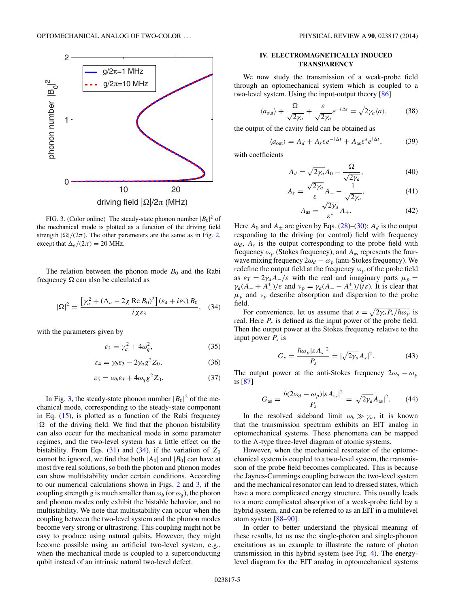<span id="page-4-0"></span>

FIG. 3. (Color online) The steady-state phonon number  $|B_0|^2$  of the mechanical mode is plotted as a function of the driving field strength  $|\Omega|/(2\pi)$ . The other parameters are the same as in Fig. [2,](#page-3-0) except that  $\Delta_a/(2\pi) = 20$  MHz.

The relation between the phonon mode  $B_0$  and the Rabi frequency  $\Omega$  can also be calculated as

$$
|\Omega|^2 = \frac{\left[\gamma_a^2 + (\Delta_a - 2\chi \operatorname{Re} B_0)^2\right] (\varepsilon_4 + i\varepsilon_5) B_0}{i\chi \varepsilon_3}, \quad (34)
$$

with the parameters given by

$$
\varepsilon_3 = \gamma_a^2 + 4\omega_q^2,\tag{35}
$$

$$
\varepsilon_4 = \gamma_b \varepsilon_3 - 2\gamma_a g^2 Z_0,\tag{36}
$$

$$
\varepsilon_5 = \omega_b \varepsilon_3 + 4\omega_q g^2 Z_0. \tag{37}
$$

In Fig. 3, the steady-state phonon number  $|B_0|^2$  of the mechanical mode, corresponding to the steady-state component in Eq. [\(15\)](#page-2-0), is plotted as a function of the Rabi frequency  $|\Omega|$  of the driving field. We find that the phonon bistability can also occur for the mechanical mode in some parameter regimes, and the two-level system has a little effect on the bistability. From Eqs.  $(31)$  and  $(34)$ , if the variation of  $Z_0$ cannot be ignored, we find that both  $|A_0|$  and  $|B_0|$  can have at most five real solutions, so both the photon and phonon modes can show multistability under certain conditions. According to our numerical calculations shown in Figs. [2](#page-3-0) and 3, if the coupling strength *g* is much smaller than  $\omega_b$  (or  $\omega_a$ ), the photon and phonon modes only exhibit the bistable behavior, and no multistability. We note that multistability can occur when the coupling between the two-level system and the phonon modes become very strong or ultrastrong. This coupling might not be easy to produce using natural qubits. However, they might become possible using an artificial two-level system, e.g., when the mechanical mode is coupled to a superconducting qubit instead of an intrinsic natural two-level defect.

# **IV. ELECTROMAGNETICALLY INDUCED TRANSPARENCY**

We now study the transmission of a weak-probe field through an optomechanical system which is coupled to a two-level system. Using the input-output theory [\[86\]](#page-10-0)

$$
\langle a_{\text{out}} \rangle + \frac{\Omega}{\sqrt{2\gamma_a}} + \frac{\varepsilon}{\sqrt{2\gamma_a}} e^{-i\Delta t} = \sqrt{2\gamma_a} \langle a \rangle, \tag{38}
$$

the output of the cavity field can be obtained as

$$
\langle a_{\text{out}} \rangle = A_d + A_s \varepsilon e^{-i\Delta t} + A_{\text{as}} \varepsilon^* e^{i\Delta t},\tag{39}
$$

with coefficients

$$
A_d = \sqrt{2\gamma_a} A_0 - \frac{\Omega}{\sqrt{2\gamma_a}},\tag{40}
$$

$$
A_s = \frac{\sqrt{2\gamma_a}}{\varepsilon} A_- - \frac{1}{\sqrt{2\gamma_a}},\tag{41}
$$

$$
A_{\rm as} = \frac{\sqrt{2\gamma_a}}{\varepsilon^*} A_+.
$$
 (42)

Here  $A_0$  and  $A_{\pm}$  are given by Eqs. [\(28\)](#page-3-0)–[\(30\)](#page-3-0);  $A_d$  is the output responding to the driving (or control) field with frequency  $\omega_d$ ,  $A_s$  is the output corresponding to the probe field with frequency  $\omega_p$  (Stokes frequency), and  $A_{\text{as}}$  represents the fourwave mixing frequency  $2\omega_d - \omega_p$  (anti-Stokes frequency). We redefine the output field at the frequency  $\omega_p$  of the probe field as  $\varepsilon_T = 2\gamma_a A_-/\varepsilon$  with the real and imaginary parts  $\mu_p =$ *γa*(*A*<sub>−</sub> + *A*<sup>\*</sup>)/*ε* and *ν<sub>p</sub>* = *γa*(*A*<sub>−</sub> − *A*<sup>\*</sup>)/(*iε*). It is clear that  $\mu_p$  and  $\nu_p$  describe absorption and dispersion to the probe field.

For convenience, let us assume that  $\varepsilon = \sqrt{2\gamma_a P_s/\hbar \omega_p}$  is real. Here  $P_s$  is defined as the input power of the probe field. Then the output power at the Stokes frequency relative to the input power  $P_s$  is

$$
G_s = \frac{\hbar \omega_p |\varepsilon A_s|^2}{P_s} = |\sqrt{2\gamma_a} A_s|^2. \tag{43}
$$

The output power at the anti-Stokes frequency  $2\omega_d - \omega_p$ is [\[87\]](#page-10-0)

$$
G_{\rm as} = \frac{\hbar (2\omega_d - \omega_p)|\varepsilon A_{\rm as}|^2}{P_s} = |\sqrt{2\gamma_a} A_{\rm as}|^2. \tag{44}
$$

In the resolved sideband limit  $\omega_b \gg \gamma_a$ , it is known that the transmission spectrum exhibits an EIT analog in optomechanical systems. These phenomena can be mapped to the  $\Lambda$ -type three-level diagram of atomic systems.

However, when the mechanical resonator of the optomechanical system is coupled to a two-level system, the transmission of the probe field becomes complicated. This is because the Jaynes-Cummings coupling between the two-level system and the mechanical resonator can lead to dressed states, which have a more complicated energy structure. This usually leads to a more complicated absorption of a weak-probe field by a hybrid system, and can be referred to as an EIT in a multilevel atom system [\[88–90\]](#page-10-0).

In order to better understand the physical meaning of these results, let us use the single-photon and single-phonon excitations as an example to illustrate the nature of photon transmission in this hybrid system (see Fig. [4\)](#page-5-0). The energylevel diagram for the EIT analog in optomechanical systems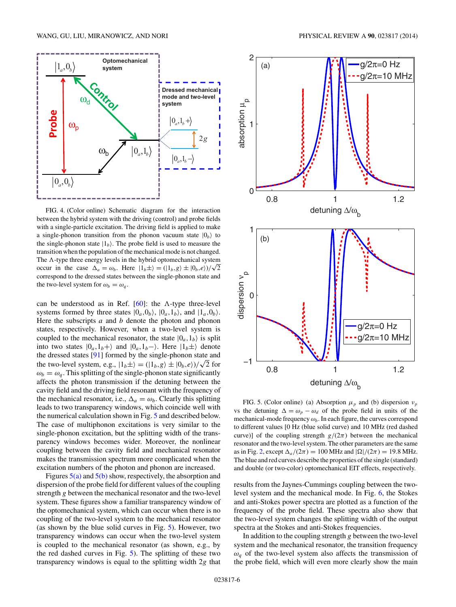<span id="page-5-0"></span>

FIG. 4. (Color online) Schematic diagram for the interaction between the hybrid system with the driving (control) and probe fields with a single-particle excitation. The driving field is applied to make a single-phonon transition from the phonon vacuum state  $|0_b\rangle$  to the single-phonon state  $|1_b\rangle$ . The probe field is used to measure the transition when the population of the mechanical mode is not changed. The  $\Lambda$ -type three energy levels in the hybrid optomechanical system occur in the case  $\Delta_a = \omega_b$ . Here  $|1_b \pm \rangle = (|1_b, g \rangle \pm |0_b, e \rangle)/\sqrt{2}$ correspond to the dressed states between the single-phonon state and the two-level system for  $\omega_b = \omega_q$ .

can be understood as in Ref. [\[60\]](#page-9-0): the  $\Lambda$ -type three-level systems formed by three states  $|0_a, 0_b\rangle$ ,  $|0_a, 1_b\rangle$ , and  $|1_a, 0_b\rangle$ . Here the subscripts *a* and *b* denote the photon and phonon states, respectively. However, when a two-level system is coupled to the mechanical resonator, the state  $|0_a, 1_b\rangle$  is split into two states  $|0_a, 1_b+\rangle$  and  $|0_a, 1_b-\rangle$ . Here  $|1_b\pm\rangle$  denote the dressed states [\[91\]](#page-10-0) formed by the single-phonon state and the two-level system, e.g.,  $|1_b \pm \rangle = (|1_b, g \rangle \pm |0_b, e \rangle)/\sqrt{2}$  for  $\omega_b = \omega_q$ . This splitting of the single-phonon state significantly affects the photon transmission if the detuning between the cavity field and the driving field resonant with the frequency of the mechanical resonator, i.e.,  $\Delta_a = \omega_b$ . Clearly this splitting leads to two transparency windows, which coincide well with the numerical calculation shown in Fig. 5 and described below. The case of multiphonon excitations is very similar to the single-phonon excitation, but the splitting width of the transparency windows becomes wider. Moreover, the nonlinear coupling between the cavity field and mechanical resonator makes the transmission spectrum more complicated when the excitation numbers of the photon and phonon are increased.

Figures  $5(a)$  and  $5(b)$  show, respectively, the absorption and dispersion of the probe field for different values of the coupling strength *g* between the mechanical resonator and the two-level system. These figures show a familiar transparency window of the optomechanical system, which can occur when there is no coupling of the two-level system to the mechanical resonator (as shown by the blue solid curves in Fig. 5). However, two transparency windows can occur when the two-level system is coupled to the mechanical resonator (as shown, e.g., by the red dashed curves in Fig. 5). The splitting of these two transparency windows is equal to the splitting width 2*g* that



FIG. 5. (Color online) (a) Absorption  $\mu_p$  and (b) dispersion  $\nu_p$ vs the detuning  $\Delta = \omega_p - \omega_d$  of the probe field in units of the mechanical-mode frequency  $\omega_b$ . In each figure, the curves correspond to different values [0 Hz (blue solid curve) and 10 MHz (red dashed curve)] of the coupling strength  $g/(2\pi)$  between the mechanical resonator and the two-level system. The other parameters are the same as in Fig. [2,](#page-3-0) except  $\Delta_a/(2\pi) = 100$  MHz and  $|\Omega|/(2\pi) = 19.8$  MHz. The blue and red curves describe the properties of the single (standard) and double (or two-color) optomechanical EIT effects, respectively.

results from the Jaynes-Cummings coupling between the twolevel system and the mechanical mode. In Fig. [6,](#page-6-0) the Stokes and anti-Stokes power spectra are plotted as a function of the frequency of the probe field. These spectra also show that the two-level system changes the splitting width of the output spectra at the Stokes and anti-Stokes frequencies.

In addition to the coupling strength *g* between the two-level system and the mechanical resonator, the transition frequency  $\omega_q$  of the two-level system also affects the transmission of the probe field, which will even more clearly show the main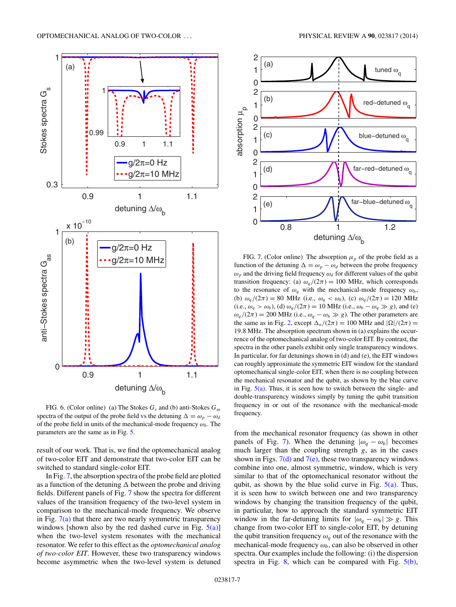<span id="page-6-0"></span>

FIG. 6. (Color online) (a) The Stokes *Gs* and (b) anti-Stokes *G*as spectra of the output of the probe field vs the detuning  $\Delta = \omega_p - \omega_d$ of the probe field in units of the mechanical-mode frequency  $\omega_b$ . The parameters are the same as in Fig. [5.](#page-5-0)

result of our work. That is, we find the optomechanical analog of two-color EIT and demonstrate that two-color EIT can be switched to standard single-color EIT.

In Fig. 7, the absorption spectra of the probe field are plotted as a function of the detuning  $\Delta$  between the probe and driving fields. Different panels of Fig. 7 show the spectra for different values of the transition frequency of the two-level system in comparison to the mechanical-mode frequency. We observe in Fig.  $7(a)$  that there are two nearly symmetric transparency windows [shown also by the red dashed curve in Fig.  $5(a)$ ] when the two-level system resonates with the mechanical resonator. We refer to this effect as the *optomechanical analog of two-color EIT*. However, these two transparency windows become asymmetric when the two-level system is detuned



FIG. 7. (Color online) The absorption  $\mu_p$  of the probe field as a function of the detuning  $\Delta = \omega_p - \omega_d$  between the probe frequency  $\omega_p$  and the driving field frequency  $\omega_d$  for different values of the qubit transition frequency: (a)  $\omega_q/(2\pi) = 100$  MHz, which corresponds to the resonance of  $\omega_q$  with the mechanical-mode frequency  $\omega_b$ , (b)  $\omega_q/(2\pi) = 80$  MHz (i.e.,  $\omega_q < \omega_b$ ), (c)  $\omega_q/(2\pi) = 120$  MHz (i.e.,  $\omega_q > \omega_b$ ), (d)  $\omega_q/(2\pi) = 10$  MHz (i.e.,  $\omega_b - \omega_q \gg g$ ), and (e)  $\omega_q/(2\pi) = 200$  MHz (i.e.,  $\omega_q - \omega_b \gg g$ ). The other parameters are the same as in Fig. [2,](#page-3-0) except  $\Delta_a/(2\pi) = 100$  MHz and  $|\Omega|/(2\pi) =$ 19*.*8 MHz. The absorption spectrum shown in (a) explains the occurrence of the optomechanical analog of two-color EIT. By contrast, the spectra in the other panels exhibit only single transparency windows. In particular, for far detunings shown in (d) and (e), the EIT windows can roughly approximate the symmetric EIT window for the standard optomechanical single-color EIT, when there is no coupling between the mechanical resonator and the qubit, as shown by the blue curve in Fig.  $5(a)$ . Thus, it is seen how to switch between the single- and double-transparency windows simply by tuning the qubit transition frequency in or out of the resonance with the mechanical-mode frequency.

from the mechanical resonator frequency (as shown in other panels of Fig. 7). When the detuning  $|\omega_q - \omega_b|$  becomes much larger than the coupling strength *g*, as in the cases shown in Figs.  $7(d)$  and  $7(e)$ , these two transparency windows combine into one, almost symmetric, window, which is very similar to that of the optomechanical resonator without the qubit, as shown by the blue solid curve in Fig.  $5(a)$ . Thus, it is seen how to switch between one and two transparency windows by changing the transition frequency of the qubit, in particular, how to approach the standard symmetric EIT window in the far-detuning limits for  $|\omega_q - \omega_b| \gg g$ . This change from two-color EIT to single-color EIT, by detuning the qubit transition frequency  $\omega_q$  out of the resonance with the mechanical-mode frequency  $\omega_b$ , can also be observed in other spectra. Our examples include the following: (i) the dispersion spectra in Fig.  $8$ , which can be compared with Fig.  $5(b)$ ,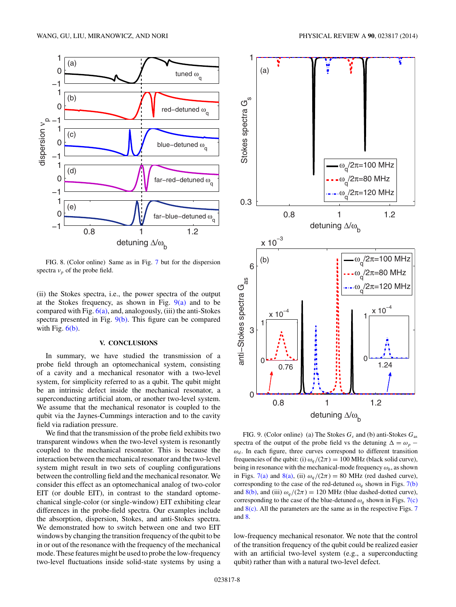<span id="page-7-0"></span>

FIG. 8. (Color online) Same as in Fig. [7](#page-6-0) but for the dispersion spectra  $v_p$  of the probe field.

(ii) the Stokes spectra, i.e., the power spectra of the output at the Stokes frequency, as shown in Fig.  $9(a)$  and to be compared with Fig.  $6(a)$ , and, analogously, (iii) the anti-Stokes spectra presented in Fig. 9(b). This figure can be compared with Fig.  $6(b)$ .

## **V. CONCLUSIONS**

In summary, we have studied the transmission of a probe field through an optomechanical system, consisting of a cavity and a mechanical resonator with a two-level system, for simplicity referred to as a qubit. The qubit might be an intrinsic defect inside the mechanical resonator, a superconducting artificial atom, or another two-level system. We assume that the mechanical resonator is coupled to the qubit via the Jaynes-Cummings interaction and to the cavity field via radiation pressure.

We find that the transmission of the probe field exhibits two transparent windows when the two-level system is resonantly coupled to the mechanical resonator. This is because the interaction between the mechanical resonator and the two-level system might result in two sets of coupling configurations between the controlling field and the mechanical resonator. We consider this effect as an optomechanical analog of two-color EIT (or double EIT), in contrast to the standard optomechanical single-color (or single-window) EIT exhibiting clear differences in the probe-field spectra. Our examples include the absorption, dispersion, Stokes, and anti-Stokes spectra. We demonstrated how to switch between one and two EIT windows by changing the transition frequency of the qubit to be in or out of the resonance with the frequency of the mechanical mode. These features might be used to probe the low-frequency two-level fluctuations inside solid-state systems by using a



FIG. 9. (Color online) (a) The Stokes  $G_s$  and (b) anti-Stokes  $G_{as}$ spectra of the output of the probe field vs the detuning  $\Delta = \omega_p$  −  $\omega_d$ . In each figure, three curves correspond to different transition frequencies of the qubit: (i)  $\omega_q/(2\pi) = 100 \text{ MHz}$  (black solid curve), being in resonance with the mechanical-mode frequency  $\omega_b$ , as shown in Figs. [7\(a\)](#page-6-0) and 8(a), (ii)  $\omega_q/(2\pi) = 80$  MHz (red dashed curve), corresponding to the case of the red-detuned  $\omega_a$  shown in Figs. [7\(b\)](#page-6-0) and 8(b), and (iii)  $\omega_q/(2\pi) = 120$  MHz (blue dashed-dotted curve), corresponding to the case of the blue-detuned  $\omega_q$  shown in Figs. [7\(c\)](#page-6-0) and  $8(c)$ . All the parameters are the same as in the respective Figs. [7](#page-6-0) and 8.

low-frequency mechanical resonator. We note that the control of the transition frequency of the qubit could be realized easier with an artificial two-level system (e.g., a superconducting qubit) rather than with a natural two-level defect.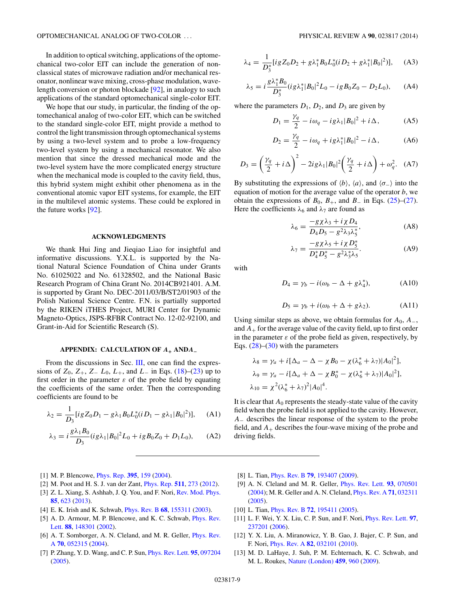<span id="page-8-0"></span>In addition to optical switching, applications of the optomechanical two-color EIT can include the generation of nonclassical states of microwave radiation and/or mechanical resonator, nonlinear wave mixing, cross-phase modulation, wavelength conversion or photon blockade [\[92\]](#page-10-0), in analogy to such applications of the standard optomechanical single-color EIT.

We hope that our study, in particular, the finding of the optomechanical analog of two-color EIT, which can be switched to the standard single-color EIT, might provide a method to control the light transmission through optomechanical systems by using a two-level system and to probe a low-frequency two-level system by using a mechanical resonator. We also mention that since the dressed mechanical mode and the two-level system have the more complicated energy structure when the mechanical mode is coupled to the cavity field, thus, this hybrid system might exhibit other phenomena as in the conventional atomic vapor EIT systems, for example, the EIT in the multilevel atomic systems. These could be explored in the future works [\[92\]](#page-10-0).

### **ACKNOWLEDGMENTS**

We thank Hui Jing and Jieqiao Liao for insightful and informative discussions. Y.X.L. is supported by the National Natural Science Foundation of China under Grants No. 61025022 and No. 61328502, and the National Basic Research Program of China Grant No. 2014CB921401. A.M. is supported by Grant No. DEC-2011/03/B/ST2/01903 of the Polish National Science Centre. F.N. is partially supported by the RIKEN iTHES Project, MURI Center for Dynamic Magneto-Optics, JSPS-RFBR Contract No. 12-02-92100, and Grant-in-Aid for Scientific Research (S).

### **APPENDIX: CALCULATION OF** *A***<sup>+</sup> AND***A***<sup>−</sup>**

From the discussions in Sec. [III,](#page-2-0) one can find the expressions of  $Z_0$ ,  $Z_+$ ,  $Z_ L_0$ ,  $L_+$ , and  $L_-$  in Eqs. [\(18\)](#page-2-0)–[\(23\)](#page-3-0) up to first order in the parameter  $\varepsilon$  of the probe field by equating the coefficients of the same order. Then the corresponding coefficients are found to be

$$
\lambda_2 = \frac{1}{D_3} [ig Z_0 D_1 - g \lambda_1 B_0 L_0^* (i D_1 - g \lambda_1 |B_0|^2)], \quad (A1)
$$

$$
\lambda_3 = i \frac{g \lambda_1 B_0}{D_3} (ig \lambda_1 |B_0|^2 L_0 + ig B_0 Z_0 + D_1 L_0), \quad (A2)
$$

$$
\lambda_4 = \frac{1}{D_3^*} [ig Z_0 D_2 + g \lambda_1^* B_0 L_0^* (i D_2 + g \lambda_1^* |B_0|^2)], \quad \text{(A3)}
$$

$$
\lambda_5 = i \frac{g \lambda_1^* B_0}{D_3^*} (ig \lambda_1^* |B_0|^2 L_0 - ig B_0 Z_0 - D_2 L_0), \quad (A4)
$$

where the parameters  $D_1$ ,  $D_2$ , and  $D_3$  are given by

$$
D_1 = \frac{\gamma_q}{2} - i\omega_q - ig\lambda_1 |B_0|^2 + i\Delta, \qquad (A5)
$$

$$
D_2 = \frac{\gamma_q}{2} - i\omega_q + ig\lambda_1^* |B_0|^2 - i\Delta,\tag{A6}
$$

$$
D_3 = \left(\frac{\gamma_q}{2} + i\Delta\right)^2 - 2ig\lambda_1|B_0|^2\left(\frac{\gamma_q}{2} + i\Delta\right) + \omega_q^2. \quad (A7)
$$

By substituting the expressions of  $\langle b \rangle$ ,  $\langle a \rangle$ , and  $\langle \sigma_-\rangle$  into the equation of motion for the average value of the operator *b*, we obtain the expressions of  $B_0$ ,  $B_+$ , and  $B_-$  in Eqs. [\(25\)](#page-3-0)–[\(27\)](#page-3-0). Here the coefficients  $\lambda_6$  and  $\lambda_7$  are found as

$$
\lambda_6 = \frac{-g\chi\lambda_3 + i\chi D_4}{D_4 D_5 - g^2 \lambda_3 \lambda_5^*},\tag{A8}
$$

$$
\lambda_7 = \frac{-g\chi\lambda_5 + i\chi D_5^*}{D_4^*D_5^* - g^2\lambda_3^*\lambda_5}.
$$
 (A9)

with

$$
D_4 = \gamma_b - i(\omega_b - \Delta + g\lambda_4^*), \tag{A10}
$$

$$
D_5 = \gamma_b + i(\omega_b + \Delta + g\lambda_2). \tag{A11}
$$

Using similar steps as above, we obtain formulas for  $A_0$ ,  $A_-,$ and  $A_{+}$  for the average value of the cavity field, up to first order in the parameter  $\varepsilon$  of the probe field as given, respectively, by Eqs.  $(28)$ – $(30)$  with the parameters

$$
\lambda_8 = \gamma_a + i[\Delta_a - \Delta - \chi B_0 - \chi(\lambda_6^* + \lambda_7)|A_0|^2],
$$
  
\n
$$
\lambda_9 = \gamma_a - i[\Delta_a + \Delta - \chi B_0^* - \chi(\lambda_6^* + \lambda_7)|A_0|^2],
$$
  
\n
$$
\lambda_{10} = \chi^2(\lambda_6^* + \lambda_7)^2|A_0|^4.
$$

It is clear that  $A_0$  represents the steady-state value of the cavity field when the probe field is not applied to the cavity. However, *A*<sup>−</sup> describes the linear response of the system to the probe field, and  $A_+$  describes the four-wave mixing of the probe and driving fields.

- [1] M. P. Blencowe, [Phys. Rep.](http://dx.doi.org/10.1016/j.physrep.2003.12.005) **[395](http://dx.doi.org/10.1016/j.physrep.2003.12.005)**, [159](http://dx.doi.org/10.1016/j.physrep.2003.12.005) [\(2004\)](http://dx.doi.org/10.1016/j.physrep.2003.12.005).
- [2] M. Poot and H. S. J. van der Zant, [Phys. Rep.](http://dx.doi.org/10.1016/j.physrep.2011.12.004) **[511](http://dx.doi.org/10.1016/j.physrep.2011.12.004)**, [273](http://dx.doi.org/10.1016/j.physrep.2011.12.004) [\(2012\)](http://dx.doi.org/10.1016/j.physrep.2011.12.004).
- [3] Z. L. Xiang, S. Ashhab, J. Q. You, and F. Nori, [Rev. Mod. Phys.](http://dx.doi.org/10.1103/RevModPhys.85.623) **[85](http://dx.doi.org/10.1103/RevModPhys.85.623)**, [623](http://dx.doi.org/10.1103/RevModPhys.85.623) [\(2013\)](http://dx.doi.org/10.1103/RevModPhys.85.623).
- [4] E. K. Irish and K. Schwab, [Phys. Rev. B](http://dx.doi.org/10.1103/PhysRevB.68.155311) **[68](http://dx.doi.org/10.1103/PhysRevB.68.155311)**, [155311](http://dx.doi.org/10.1103/PhysRevB.68.155311) [\(2003\)](http://dx.doi.org/10.1103/PhysRevB.68.155311).
- [5] [A. D. Armour, M. P. Blencowe, and K. C. Schwab,](http://dx.doi.org/10.1103/PhysRevLett.88.148301) *Phys. Rev.* Lett. **[88](http://dx.doi.org/10.1103/PhysRevLett.88.148301)**, [148301](http://dx.doi.org/10.1103/PhysRevLett.88.148301) [\(2002\)](http://dx.doi.org/10.1103/PhysRevLett.88.148301).
- [6] [A. T. Sornborger, A. N. Cleland, and M. R. Geller,](http://dx.doi.org/10.1103/PhysRevA.70.052315) *Phys. Rev.* A **[70](http://dx.doi.org/10.1103/PhysRevA.70.052315)**, [052315](http://dx.doi.org/10.1103/PhysRevA.70.052315) [\(2004\)](http://dx.doi.org/10.1103/PhysRevA.70.052315).
- [7] P. Zhang, Y. D. Wang, and C. P. Sun, [Phys. Rev. Lett.](http://dx.doi.org/10.1103/PhysRevLett.95.097204) **[95](http://dx.doi.org/10.1103/PhysRevLett.95.097204)**, [097204](http://dx.doi.org/10.1103/PhysRevLett.95.097204) [\(2005\)](http://dx.doi.org/10.1103/PhysRevLett.95.097204).
- [8] L. Tian, [Phys. Rev. B](http://dx.doi.org/10.1103/PhysRevB.79.193407) **[79](http://dx.doi.org/10.1103/PhysRevB.79.193407)**, [193407](http://dx.doi.org/10.1103/PhysRevB.79.193407) [\(2009\)](http://dx.doi.org/10.1103/PhysRevB.79.193407).
- [9] A. N. Cleland and M. R. Geller, [Phys. Rev. Lett.](http://dx.doi.org/10.1103/PhysRevLett.93.070501) **[93](http://dx.doi.org/10.1103/PhysRevLett.93.070501)**, [070501](http://dx.doi.org/10.1103/PhysRevLett.93.070501) [\(2004\)](http://dx.doi.org/10.1103/PhysRevLett.93.070501); M. R. Geller and A. N. Cleland, [Phys. Rev. A](http://dx.doi.org/10.1103/PhysRevA.71.032311) **[71](http://dx.doi.org/10.1103/PhysRevA.71.032311)**, [032311](http://dx.doi.org/10.1103/PhysRevA.71.032311) [\(2005\)](http://dx.doi.org/10.1103/PhysRevA.71.032311).
- [10] L. Tian, *[Phys. Rev. B](http://dx.doi.org/10.1103/PhysRevB.72.195411)* **[72](http://dx.doi.org/10.1103/PhysRevB.72.195411)**, [195411](http://dx.doi.org/10.1103/PhysRevB.72.195411) [\(2005\)](http://dx.doi.org/10.1103/PhysRevB.72.195411).
- [11] L. F. Wei, Y. X. Liu, C. P. Sun, and F. Nori, [Phys. Rev. Lett.](http://dx.doi.org/10.1103/PhysRevLett.97.237201) **[97](http://dx.doi.org/10.1103/PhysRevLett.97.237201)**, [237201](http://dx.doi.org/10.1103/PhysRevLett.97.237201) [\(2006\)](http://dx.doi.org/10.1103/PhysRevLett.97.237201).
- [12] Y. X. Liu, A. Miranowicz, Y. B. Gao, J. Bajer, C. P. Sun, and F. Nori, [Phys. Rev. A](http://dx.doi.org/10.1103/PhysRevA.82.032101) **[82](http://dx.doi.org/10.1103/PhysRevA.82.032101)**, [032101](http://dx.doi.org/10.1103/PhysRevA.82.032101) [\(2010\)](http://dx.doi.org/10.1103/PhysRevA.82.032101).
- [13] M. D. LaHaye, J. Suh, P. M. Echternach, K. C. Schwab, and M. L. Roukes, [Nature \(London\)](http://dx.doi.org/10.1038/nature08093) **[459](http://dx.doi.org/10.1038/nature08093)**, [960](http://dx.doi.org/10.1038/nature08093) [\(2009\)](http://dx.doi.org/10.1038/nature08093).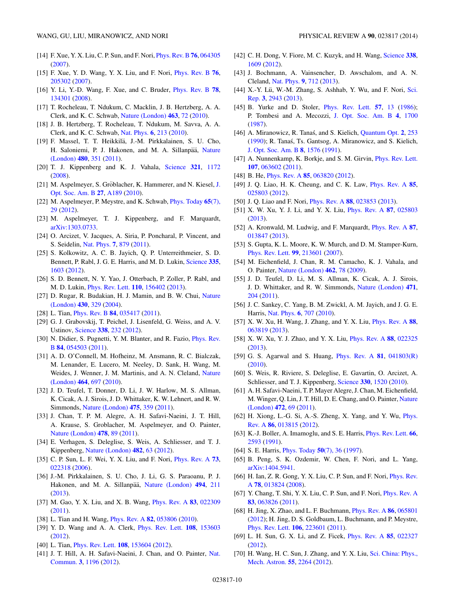- <span id="page-9-0"></span>[14] F. Xue, Y. X. Liu, C. P. Sun, and F. Nori, [Phys. Rev. B](http://dx.doi.org/10.1103/PhysRevB.76.064305) **[76](http://dx.doi.org/10.1103/PhysRevB.76.064305)**, [064305](http://dx.doi.org/10.1103/PhysRevB.76.064305) [\(2007\)](http://dx.doi.org/10.1103/PhysRevB.76.064305).
- [15] F. Xue, Y. D. Wang, Y. X. Liu, and F. Nori, [Phys. Rev. B](http://dx.doi.org/10.1103/PhysRevB.76.205302) **[76](http://dx.doi.org/10.1103/PhysRevB.76.205302)**, [205302](http://dx.doi.org/10.1103/PhysRevB.76.205302) [\(2007\)](http://dx.doi.org/10.1103/PhysRevB.76.205302).
- [16] Y. Li, Y.-D. Wang, F. Xue, and C. Bruder, [Phys. Rev. B](http://dx.doi.org/10.1103/PhysRevB.78.134301) **[78](http://dx.doi.org/10.1103/PhysRevB.78.134301)**, [134301](http://dx.doi.org/10.1103/PhysRevB.78.134301) [\(2008\)](http://dx.doi.org/10.1103/PhysRevB.78.134301).
- [17] T. Rocheleau, T. Ndukum, C. Macklin, J. B. Hertzberg, A. A. Clerk, and K. C. Schwab, [Nature \(London\)](http://dx.doi.org/10.1038/nature08681) **[463](http://dx.doi.org/10.1038/nature08681)**, [72](http://dx.doi.org/10.1038/nature08681) [\(2010\)](http://dx.doi.org/10.1038/nature08681).
- [18] J. B. Hertzberg, T. Rocheleau, T. Ndukum, M. Savva, A. A. Clerk, and K. C. Schwab, [Nat. Phys.](http://dx.doi.org/10.1038/nphys1479) **[6](http://dx.doi.org/10.1038/nphys1479)**, [213](http://dx.doi.org/10.1038/nphys1479) [\(2010\)](http://dx.doi.org/10.1038/nphys1479).
- [19] F. Massel, T. T. Heikkila, J.-M. Pirkkalainen, S. U. Cho, ¨ H. Saloniemi, P. J. Hakonen, and M. A. Sillanpää, Nature (London) **[480](http://dx.doi.org/10.1038/nature10628)**, [351](http://dx.doi.org/10.1038/nature10628) [\(2011\)](http://dx.doi.org/10.1038/nature10628).
- [20] T. J. Kippenberg and K. J. Vahala, [Science](http://dx.doi.org/10.1126/science.1156032) **[321](http://dx.doi.org/10.1126/science.1156032)**, [1172](http://dx.doi.org/10.1126/science.1156032) [\(2008\)](http://dx.doi.org/10.1126/science.1156032).
- [21] M. Aspelmeyer, S. Gröblacher, K. Hammerer, and N. Kiesel, J. Opt. Soc. Am. B **[27](http://dx.doi.org/10.1364/JOSAB.27.00A189)**, [A189](http://dx.doi.org/10.1364/JOSAB.27.00A189) [\(2010\)](http://dx.doi.org/10.1364/JOSAB.27.00A189).
- [22] [M. Aspelmeyer, P. Meystre, and K. Schwab,](http://dx.doi.org/10.1063/PT.3.1640) [Phys. Today](http://dx.doi.org/10.1063/PT.3.1640) **[65](http://dx.doi.org/10.1063/PT.3.1640)**(7), 29 [\(2012\)](http://dx.doi.org/10.1063/PT.3.1640).
- [23] M. Aspelmeyer, T. J. Kippenberg, and F. Marquardt, [arXiv:1303.0733.](http://arxiv.org/abs/arXiv:1303.0733)
- [24] O. Arcizet, V. Jacques, A. Siria, P. Poncharal, P. Vincent, and S. Seidelin, [Nat. Phys.](http://dx.doi.org/10.1038/nphys2070) **[7](http://dx.doi.org/10.1038/nphys2070)**, [879](http://dx.doi.org/10.1038/nphys2070) [\(2011\)](http://dx.doi.org/10.1038/nphys2070).
- [25] S. Kolkowitz, A. C. B. Jayich, Q. P. Unterreithmeier, S. D. Bennett, P. Rabl, J. G. E. Harris, and M. D. Lukin, [Science](http://dx.doi.org/10.1126/science.1216821) **[335](http://dx.doi.org/10.1126/science.1216821)**, [1603](http://dx.doi.org/10.1126/science.1216821) [\(2012\)](http://dx.doi.org/10.1126/science.1216821).
- [26] S. D. Bennett, N. Y. Yao, J. Otterbach, P. Zoller, P. Rabl, and M. D. Lukin, [Phys. Rev. Lett.](http://dx.doi.org/10.1103/PhysRevLett.110.156402) **[110](http://dx.doi.org/10.1103/PhysRevLett.110.156402)**, [156402](http://dx.doi.org/10.1103/PhysRevLett.110.156402) [\(2013\)](http://dx.doi.org/10.1103/PhysRevLett.110.156402).
- [27] [D. Rugar, R. Budakian, H. J. Mamin, and B. W. Chui,](http://dx.doi.org/10.1038/nature02658) Nature (London) **[430](http://dx.doi.org/10.1038/nature02658)**, [329](http://dx.doi.org/10.1038/nature02658) [\(2004\)](http://dx.doi.org/10.1038/nature02658).
- [28] L. Tian, [Phys. Rev. B](http://dx.doi.org/10.1103/PhysRevB.84.035417) **[84](http://dx.doi.org/10.1103/PhysRevB.84.035417)**, [035417](http://dx.doi.org/10.1103/PhysRevB.84.035417) [\(2011\)](http://dx.doi.org/10.1103/PhysRevB.84.035417).
- [29] G. J. Grabovskij, T. Peichel, J. Lisenfeld, G. Weiss, and A. V. Ustinov, [Science](http://dx.doi.org/10.1126/science.1226487) **[338](http://dx.doi.org/10.1126/science.1226487)**, [232](http://dx.doi.org/10.1126/science.1226487) [\(2012\)](http://dx.doi.org/10.1126/science.1226487).
- [30] [N. Didier, S. Pugnetti, Y. M. Blanter, and R. Fazio,](http://dx.doi.org/10.1103/PhysRevB.84.054503) *Phys. Rev.* B **[84](http://dx.doi.org/10.1103/PhysRevB.84.054503)**, [054503](http://dx.doi.org/10.1103/PhysRevB.84.054503) [\(2011\)](http://dx.doi.org/10.1103/PhysRevB.84.054503).
- [31] A. D. O'Connell, M. Hofheinz, M. Ansmann, R. C. Bialczak, M. Lenander, E. Lucero, M. Neeley, D. Sank, H. Wang, M. [Weides, J. Wenner, J. M. Martinis, and A. N. Cleland,](http://dx.doi.org/10.1038/nature08967) Nature (London) **[464](http://dx.doi.org/10.1038/nature08967)**, [697](http://dx.doi.org/10.1038/nature08967) [\(2010\)](http://dx.doi.org/10.1038/nature08967).
- [32] J. D. Teufel, T. Donner, D. Li, J. W. Harlow, M. S. Allman, K. Cicak, A. J. Sirois, J. D. Whittaker, K. W. Lehnert, and R. W. Simmonds, [Nature \(London\)](http://dx.doi.org/10.1038/nature10261) **[475](http://dx.doi.org/10.1038/nature10261)**, [359](http://dx.doi.org/10.1038/nature10261) [\(2011\)](http://dx.doi.org/10.1038/nature10261).
- [33] J. Chan, T. P. M. Alegre, A. H. Safavi-Naeini, J. T. Hill, A. Krause, S. Groblacher, M. Aspelmeyer, and O. Painter, [Nature \(London\)](http://dx.doi.org/10.1038/nature10461) **[478](http://dx.doi.org/10.1038/nature10461)**, [89](http://dx.doi.org/10.1038/nature10461) [\(2011\)](http://dx.doi.org/10.1038/nature10461).
- [34] E. Verhagen, S. Deleglise, S. Weis, A. Schliesser, and T. J. Kippenberg, [Nature \(London\)](http://dx.doi.org/10.1038/nature10787) **[482](http://dx.doi.org/10.1038/nature10787)**, [63](http://dx.doi.org/10.1038/nature10787) [\(2012\)](http://dx.doi.org/10.1038/nature10787).
- [35] C. P. Sun, L. F. Wei, Y. X. Liu, and F. Nori, [Phys. Rev. A](http://dx.doi.org/10.1103/PhysRevA.73.022318) **[73](http://dx.doi.org/10.1103/PhysRevA.73.022318)**, [022318](http://dx.doi.org/10.1103/PhysRevA.73.022318) [\(2006\)](http://dx.doi.org/10.1103/PhysRevA.73.022318).
- [36] J.-M. Pirkkalainen, S. U. Cho, J. Li, G. S. Paraoanu, P. J. Hakonen, and M. A. Sillanpää, [Nature \(London\)](http://dx.doi.org/10.1038/nature11821) [494](http://dx.doi.org/10.1038/nature11821), [211](http://dx.doi.org/10.1038/nature11821) [\(2013\)](http://dx.doi.org/10.1038/nature11821).
- [37] M. Gao, Y. X. Liu, and X. B. Wang, [Phys. Rev. A](http://dx.doi.org/10.1103/PhysRevA.83.022309) **[83](http://dx.doi.org/10.1103/PhysRevA.83.022309)**, [022309](http://dx.doi.org/10.1103/PhysRevA.83.022309) [\(2011\)](http://dx.doi.org/10.1103/PhysRevA.83.022309).
- [38] L. Tian and H. Wang, [Phys. Rev. A](http://dx.doi.org/10.1103/PhysRevA.82.053806) **[82](http://dx.doi.org/10.1103/PhysRevA.82.053806)**, [053806](http://dx.doi.org/10.1103/PhysRevA.82.053806) [\(2010\)](http://dx.doi.org/10.1103/PhysRevA.82.053806).
- [39] Y. D. Wang and A. A. Clerk, [Phys. Rev. Lett.](http://dx.doi.org/10.1103/PhysRevLett.108.153603) **[108](http://dx.doi.org/10.1103/PhysRevLett.108.153603)**, [153603](http://dx.doi.org/10.1103/PhysRevLett.108.153603) [\(2012\)](http://dx.doi.org/10.1103/PhysRevLett.108.153603).
- [40] L. Tian, [Phys. Rev. Lett.](http://dx.doi.org/10.1103/PhysRevLett.108.153604) **[108](http://dx.doi.org/10.1103/PhysRevLett.108.153604)**, [153604](http://dx.doi.org/10.1103/PhysRevLett.108.153604) [\(2012\)](http://dx.doi.org/10.1103/PhysRevLett.108.153604).
- [41] [J. T. Hill, A. H. Safavi-Naeini, J. Chan, and O. Painter,](http://dx.doi.org/10.1038/ncomms2201) Nat. Commun. **[3](http://dx.doi.org/10.1038/ncomms2201)**, [1196](http://dx.doi.org/10.1038/ncomms2201) [\(2012\)](http://dx.doi.org/10.1038/ncomms2201).
- [42] C. H. Dong, V. Fiore, M. C. Kuzyk, and H. Wang, [Science](http://dx.doi.org/10.1126/science.1228370) **[338](http://dx.doi.org/10.1126/science.1228370)**, [1609](http://dx.doi.org/10.1126/science.1228370) [\(2012\)](http://dx.doi.org/10.1126/science.1228370).
- [43] J. Bochmann, A. Vainsencher, D. Awschalom, and A. N. Cleland, [Nat. Phys.](http://dx.doi.org/10.1038/nphys2748) **[9](http://dx.doi.org/10.1038/nphys2748)**, [712](http://dx.doi.org/10.1038/nphys2748) [\(2013\)](http://dx.doi.org/10.1038/nphys2748).
- [44] X.-Y. Lü, W.-M. Zhang, S. Ashhab, Y. Wu, and F. Nori, Sci. Rep. **[3](http://dx.doi.org/10.1038/srep02943)**, [2943](http://dx.doi.org/10.1038/srep02943) [\(2013\)](http://dx.doi.org/10.1038/srep02943).
- [45] B. Yurke and D. Stoler, [Phys. Rev. Lett.](http://dx.doi.org/10.1103/PhysRevLett.57.13) **[57](http://dx.doi.org/10.1103/PhysRevLett.57.13)**, [13](http://dx.doi.org/10.1103/PhysRevLett.57.13) [\(1986\)](http://dx.doi.org/10.1103/PhysRevLett.57.13); P. Tombesi and A. Mecozzi, [J. Opt. Soc. Am. B](http://dx.doi.org/10.1364/JOSAB.4.001700) **[4](http://dx.doi.org/10.1364/JOSAB.4.001700)**, [1700](http://dx.doi.org/10.1364/JOSAB.4.001700) [\(1987\)](http://dx.doi.org/10.1364/JOSAB.4.001700).
- [46] A. Miranowicz, R. Tanas, and S. Kielich, [Quantum Opt.](http://dx.doi.org/10.1088/0954-8998/2/3/006) [2](http://dx.doi.org/10.1088/0954-8998/2/3/006), [253](http://dx.doi.org/10.1088/0954-8998/2/3/006) [\(1990\)](http://dx.doi.org/10.1088/0954-8998/2/3/006); R. Tanas, Ts. Gantsog, A. Miranowicz, and S. Kielich, ´ [J. Opt. Soc. Am. B](http://dx.doi.org/10.1364/JOSAB.8.001576) **[8](http://dx.doi.org/10.1364/JOSAB.8.001576)**, [1576](http://dx.doi.org/10.1364/JOSAB.8.001576) [\(1991\)](http://dx.doi.org/10.1364/JOSAB.8.001576).
- [47] A. Nunnenkamp, K. Borkje, and S. M. Girvin, [Phys. Rev. Lett.](http://dx.doi.org/10.1103/PhysRevLett.107.063602) **[107](http://dx.doi.org/10.1103/PhysRevLett.107.063602)**, [063602](http://dx.doi.org/10.1103/PhysRevLett.107.063602) [\(2011\)](http://dx.doi.org/10.1103/PhysRevLett.107.063602).
- [48] B. He, [Phys. Rev. A](http://dx.doi.org/10.1103/PhysRevA.85.063820) **[85](http://dx.doi.org/10.1103/PhysRevA.85.063820)**, [063820](http://dx.doi.org/10.1103/PhysRevA.85.063820) [\(2012\)](http://dx.doi.org/10.1103/PhysRevA.85.063820).
- [49] J. Q. Liao, H. K. Cheung, and C. K. Law, [Phys. Rev. A](http://dx.doi.org/10.1103/PhysRevA.85.025803) **[85](http://dx.doi.org/10.1103/PhysRevA.85.025803)**, [025803](http://dx.doi.org/10.1103/PhysRevA.85.025803) [\(2012\)](http://dx.doi.org/10.1103/PhysRevA.85.025803).
- [50] J. Q. Liao and F. Nori, [Phys. Rev. A](http://dx.doi.org/10.1103/PhysRevA.88.023853) **[88](http://dx.doi.org/10.1103/PhysRevA.88.023853)**, [023853](http://dx.doi.org/10.1103/PhysRevA.88.023853) [\(2013\)](http://dx.doi.org/10.1103/PhysRevA.88.023853).
- [51] X. W. Xu, Y. J. Li, and Y. X. Liu, [Phys. Rev. A](http://dx.doi.org/10.1103/PhysRevA.87.025803) **[87](http://dx.doi.org/10.1103/PhysRevA.87.025803)**, [025803](http://dx.doi.org/10.1103/PhysRevA.87.025803) [\(2013\)](http://dx.doi.org/10.1103/PhysRevA.87.025803).
- [52] A. Kronwald, M. Ludwig, and F. Marquardt, [Phys. Rev. A](http://dx.doi.org/10.1103/PhysRevA.87.013847) **[87](http://dx.doi.org/10.1103/PhysRevA.87.013847)**, [013847](http://dx.doi.org/10.1103/PhysRevA.87.013847) [\(2013\)](http://dx.doi.org/10.1103/PhysRevA.87.013847).
- [53] S. Gupta, K. L. Moore, K. W. Murch, and D. M. Stamper-Kurn, [Phys. Rev. Lett.](http://dx.doi.org/10.1103/PhysRevLett.99.213601) **[99](http://dx.doi.org/10.1103/PhysRevLett.99.213601)**, [213601](http://dx.doi.org/10.1103/PhysRevLett.99.213601) [\(2007\)](http://dx.doi.org/10.1103/PhysRevLett.99.213601).
- [54] M. Eichenfield, J. Chan, R. M. Camacho, K. J. Vahala, and O. Painter, [Nature \(London\)](http://dx.doi.org/10.1038/nature08524) **[462](http://dx.doi.org/10.1038/nature08524)**, [78](http://dx.doi.org/10.1038/nature08524) [\(2009\)](http://dx.doi.org/10.1038/nature08524).
- [55] J. D. Teufel, D. Li, M. S. Allman, K. Cicak, A. J. Sirois, J. D. Whittaker, and R. W. Simmonds, [Nature \(London\)](http://dx.doi.org/10.1038/nature09898) **[471](http://dx.doi.org/10.1038/nature09898)**, [204](http://dx.doi.org/10.1038/nature09898) [\(2011\)](http://dx.doi.org/10.1038/nature09898).
- [56] J. C. Sankey, C. Yang, B. M. Zwickl, A. M. Jayich, and J. G. E. Harris, [Nat. Phys.](http://dx.doi.org/10.1038/nphys1707) **[6](http://dx.doi.org/10.1038/nphys1707)**, [707](http://dx.doi.org/10.1038/nphys1707) [\(2010\)](http://dx.doi.org/10.1038/nphys1707).
- [57] X. W. Xu, H. Wang, J. Zhang, and Y. X. Liu, [Phys. Rev. A](http://dx.doi.org/10.1103/PhysRevA.88.063819) **[88](http://dx.doi.org/10.1103/PhysRevA.88.063819)**, [063819](http://dx.doi.org/10.1103/PhysRevA.88.063819) [\(2013\)](http://dx.doi.org/10.1103/PhysRevA.88.063819).
- [58] X. W. Xu, Y. J. Zhao, and Y. X. Liu, [Phys. Rev. A](http://dx.doi.org/10.1103/PhysRevA.88.022325) **[88](http://dx.doi.org/10.1103/PhysRevA.88.022325)**, [022325](http://dx.doi.org/10.1103/PhysRevA.88.022325) [\(2013\)](http://dx.doi.org/10.1103/PhysRevA.88.022325).
- [59] G. S. Agarwal and S. Huang, [Phys. Rev. A](http://dx.doi.org/10.1103/PhysRevA.81.041803) **[81](http://dx.doi.org/10.1103/PhysRevA.81.041803)**, [041803\(R\)](http://dx.doi.org/10.1103/PhysRevA.81.041803) [\(2010\)](http://dx.doi.org/10.1103/PhysRevA.81.041803).
- [60] S. Weis, R. Riviere, S. Deleglise, E. Gavartin, O. Arcizet, A. Schliesser, and T. J. Kippenberg, [Science](http://dx.doi.org/10.1126/science.1195596) **[330](http://dx.doi.org/10.1126/science.1195596)**, [1520](http://dx.doi.org/10.1126/science.1195596) [\(2010\)](http://dx.doi.org/10.1126/science.1195596).
- [61] A. H. Safavi-Naeini, T. P. Mayer Alegre, J. Chan, M. Eichenfield, [M. Winger, Q. Lin, J. T. Hill, D. E. Chang, and O. Painter,](http://dx.doi.org/10.1038/nature09933) Nature (London) **[472](http://dx.doi.org/10.1038/nature09933)**, [69](http://dx.doi.org/10.1038/nature09933) [\(2011\)](http://dx.doi.org/10.1038/nature09933).
- [62] [H. Xiong, L.-G. Si, A.-S. Zheng, X. Yang, and Y. Wu,](http://dx.doi.org/10.1103/PhysRevA.86.013815) Phys. Rev. A **[86](http://dx.doi.org/10.1103/PhysRevA.86.013815)**, [013815](http://dx.doi.org/10.1103/PhysRevA.86.013815) [\(2012\)](http://dx.doi.org/10.1103/PhysRevA.86.013815).
- [63] K.-J. Boller, A. Imamoglu, and S. E. Harris, [Phys. Rev. Lett.](http://dx.doi.org/10.1103/PhysRevLett.66.2593) **[66](http://dx.doi.org/10.1103/PhysRevLett.66.2593)**, [2593](http://dx.doi.org/10.1103/PhysRevLett.66.2593) [\(1991\)](http://dx.doi.org/10.1103/PhysRevLett.66.2593).
- [64] S. E. Harris, [Phys. Today](http://dx.doi.org/10.1063/1.881806) **[50](http://dx.doi.org/10.1063/1.881806)**[\(7\), 36](http://dx.doi.org/10.1063/1.881806) [\(1997\)](http://dx.doi.org/10.1063/1.881806).
- [65] B. Peng, S. K. Ozdemir, W. Chen, F. Nori, and L. Yang, [arXiv:1404.5941.](http://arxiv.org/abs/arXiv:1404.5941)
- [66] [H. Ian, Z. R. Gong, Y. X. Liu, C. P. Sun, and F. Nori,](http://dx.doi.org/10.1103/PhysRevA.78.013824) Phys. Rev. A **[78](http://dx.doi.org/10.1103/PhysRevA.78.013824)**, [013824](http://dx.doi.org/10.1103/PhysRevA.78.013824) [\(2008\)](http://dx.doi.org/10.1103/PhysRevA.78.013824).
- [67] Y. Chang, T. Shi, Y. X. Liu, C. P. Sun, and F. Nori, *[Phys. Rev. A](http://dx.doi.org/10.1103/PhysRevA.83.063826)* **[83](http://dx.doi.org/10.1103/PhysRevA.83.063826)**, [063826](http://dx.doi.org/10.1103/PhysRevA.83.063826) [\(2011\)](http://dx.doi.org/10.1103/PhysRevA.83.063826).
- [68] H. Jing, X. Zhao, and L. F. Buchmann, [Phys. Rev. A](http://dx.doi.org/10.1103/PhysRevA.86.065801) **[86](http://dx.doi.org/10.1103/PhysRevA.86.065801)**, [065801](http://dx.doi.org/10.1103/PhysRevA.86.065801) [\(2012\)](http://dx.doi.org/10.1103/PhysRevA.86.065801); H. Jing, D. S. Goldbaum, L. Buchmann, and P. Meystre, [Phys. Rev. Lett.](http://dx.doi.org/10.1103/PhysRevLett.106.223601) **[106](http://dx.doi.org/10.1103/PhysRevLett.106.223601)**, [223601](http://dx.doi.org/10.1103/PhysRevLett.106.223601) [\(2011\)](http://dx.doi.org/10.1103/PhysRevLett.106.223601).
- [69] L. H. Sun, G. X. Li, and Z. Ficek, [Phys. Rev. A](http://dx.doi.org/10.1103/PhysRevA.85.022327) **[85](http://dx.doi.org/10.1103/PhysRevA.85.022327)**, [022327](http://dx.doi.org/10.1103/PhysRevA.85.022327) [\(2012\)](http://dx.doi.org/10.1103/PhysRevA.85.022327).
- [70] [H. Wang, H. C. Sun, J. Zhang, and Y. X. Liu,](http://dx.doi.org/10.1007/s11433-012-4913-4) Sci. China: Phys., Mech. Astron. **[55](http://dx.doi.org/10.1007/s11433-012-4913-4)**, [2264](http://dx.doi.org/10.1007/s11433-012-4913-4) [\(2012\)](http://dx.doi.org/10.1007/s11433-012-4913-4).